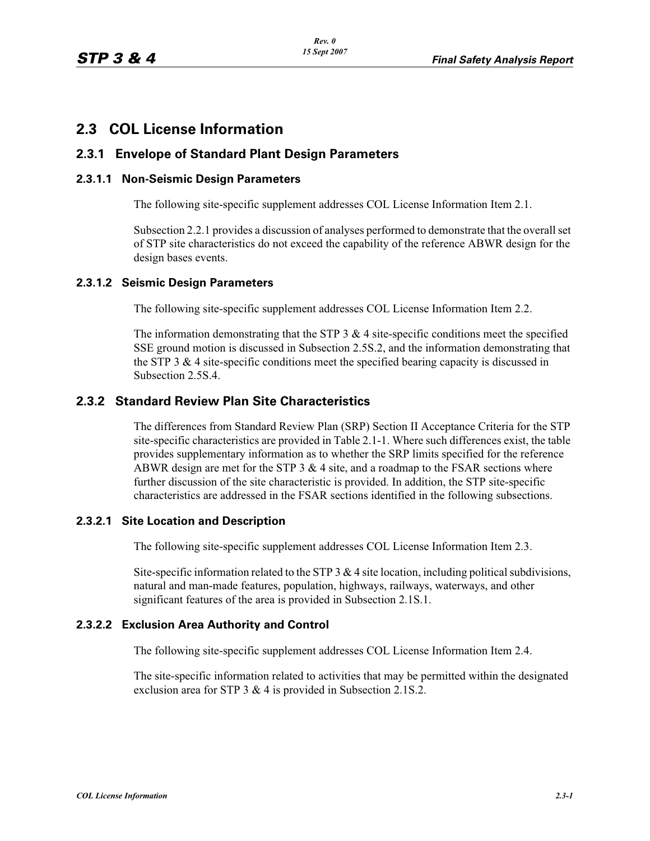# **2.3 COL License Information**

# **2.3.1 Envelope of Standard Plant Design Parameters**

#### **2.3.1.1 Non-Seismic Design Parameters**

The following site-specific supplement addresses COL License Information Item 2.1.

Subsection 2.2.1 provides a discussion of analyses performed to demonstrate that the overall set of STP site characteristics do not exceed the capability of the reference ABWR design for the design bases events.

# **2.3.1.2 Seismic Design Parameters**

The following site-specific supplement addresses COL License Information Item 2.2.

The information demonstrating that the STP 3  $\&$  4 site-specific conditions meet the specified SSE ground motion is discussed in Subsection 2.5S.2, and the information demonstrating that the STP 3  $&$  4 site-specific conditions meet the specified bearing capacity is discussed in Subsection 2.5S.4.

# **2.3.2 Standard Review Plan Site Characteristics**

The differences from Standard Review Plan (SRP) Section II Acceptance Criteria for the STP site-specific characteristics are provided in Table 2.1-1. Where such differences exist, the table provides supplementary information as to whether the SRP limits specified for the reference ABWR design are met for the STP  $3 \& 4$  site, and a roadmap to the FSAR sections where further discussion of the site characteristic is provided. In addition, the STP site-specific characteristics are addressed in the FSAR sections identified in the following subsections.

#### **2.3.2.1 Site Location and Description**

The following site-specific supplement addresses COL License Information Item 2.3.

Site-specific information related to the STP 3  $\&$  4 site location, including political subdivisions, natural and man-made features, population, highways, railways, waterways, and other significant features of the area is provided in Subsection 2.1S.1.

# **2.3.2.2 Exclusion Area Authority and Control**

The following site-specific supplement addresses COL License Information Item 2.4.

The site-specific information related to activities that may be permitted within the designated exclusion area for STP 3 & 4 is provided in Subsection 2.1S.2.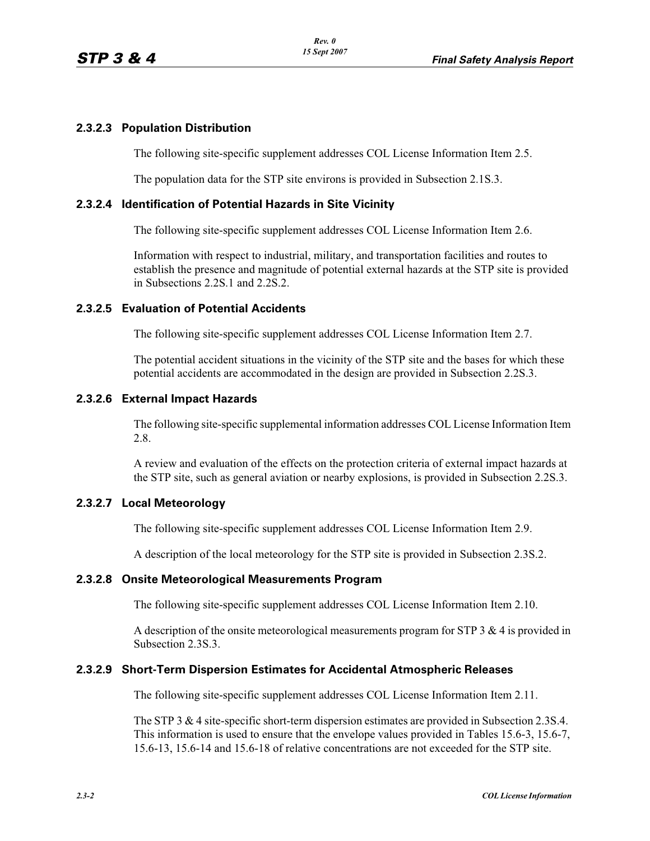# **2.3.2.3 Population Distribution**

The following site-specific supplement addresses COL License Information Item 2.5.

The population data for the STP site environs is provided in Subsection 2.1S.3.

# **2.3.2.4 Identification of Potential Hazards in Site Vicinity**

The following site-specific supplement addresses COL License Information Item 2.6.

Information with respect to industrial, military, and transportation facilities and routes to establish the presence and magnitude of potential external hazards at the STP site is provided in Subsections 2.2S.1 and 2.2S.2.

# **2.3.2.5 Evaluation of Potential Accidents**

The following site-specific supplement addresses COL License Information Item 2.7.

The potential accident situations in the vicinity of the STP site and the bases for which these potential accidents are accommodated in the design are provided in Subsection 2.2S.3.

#### **2.3.2.6 External Impact Hazards**

The following site-specific supplemental information addresses COL License Information Item 2.8.

A review and evaluation of the effects on the protection criteria of external impact hazards at the STP site, such as general aviation or nearby explosions, is provided in Subsection 2.2S.3.

# **2.3.2.7 Local Meteorology**

The following site-specific supplement addresses COL License Information Item 2.9.

A description of the local meteorology for the STP site is provided in Subsection 2.3S.2.

#### **2.3.2.8 Onsite Meteorological Measurements Program**

The following site-specific supplement addresses COL License Information Item 2.10.

A description of the onsite meteorological measurements program for STP  $3 \& 4$  is provided in Subsection 2.3S.3.

#### **2.3.2.9 Short-Term Dispersion Estimates for Accidental Atmospheric Releases**

The following site-specific supplement addresses COL License Information Item 2.11.

The STP 3 & 4 site-specific short-term dispersion estimates are provided in Subsection 2.3S.4. This information is used to ensure that the envelope values provided in Tables 15.6-3, 15.6-7, 15.6-13, 15.6-14 and 15.6-18 of relative concentrations are not exceeded for the STP site.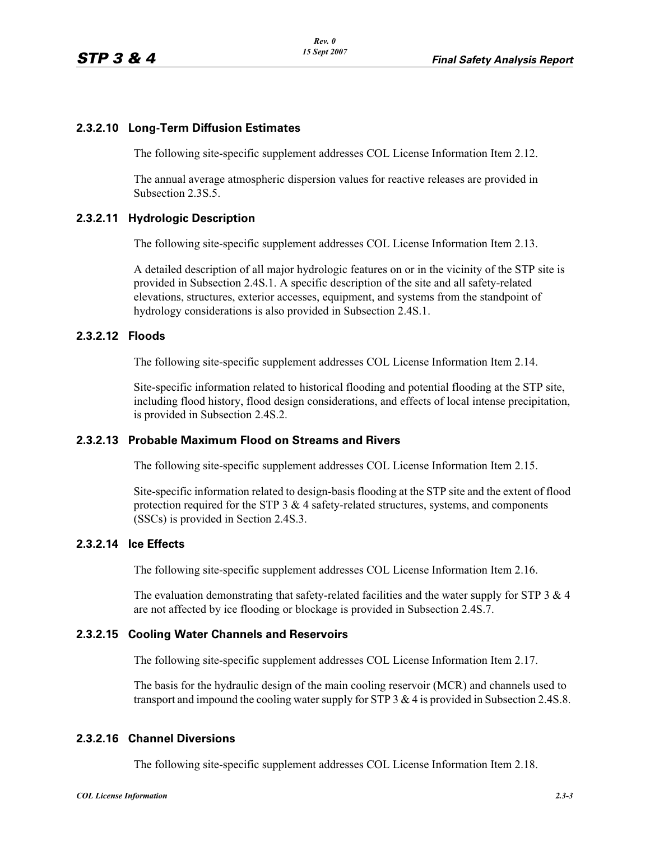# **2.3.2.10 Long-Term Diffusion Estimates**

The following site-specific supplement addresses COL License Information Item 2.12.

The annual average atmospheric dispersion values for reactive releases are provided in Subsection 2.3S.5.

# **2.3.2.11 Hydrologic Description**

The following site-specific supplement addresses COL License Information Item 2.13.

A detailed description of all major hydrologic features on or in the vicinity of the STP site is provided in Subsection 2.4S.1. A specific description of the site and all safety-related elevations, structures, exterior accesses, equipment, and systems from the standpoint of hydrology considerations is also provided in Subsection 2.4S.1.

# **2.3.2.12 Floods**

The following site-specific supplement addresses COL License Information Item 2.14.

Site-specific information related to historical flooding and potential flooding at the STP site, including flood history, flood design considerations, and effects of local intense precipitation, is provided in Subsection 2.4S.2.

#### **2.3.2.13 Probable Maximum Flood on Streams and Rivers**

The following site-specific supplement addresses COL License Information Item 2.15.

Site-specific information related to design-basis flooding at the STP site and the extent of flood protection required for the STP  $3 \& 4$  safety-related structures, systems, and components (SSCs) is provided in Section 2.4S.3.

# **2.3.2.14 Ice Effects**

The following site-specific supplement addresses COL License Information Item 2.16.

The evaluation demonstrating that safety-related facilities and the water supply for STP  $3 \& 4$ are not affected by ice flooding or blockage is provided in Subsection 2.4S.7.

#### **2.3.2.15 Cooling Water Channels and Reservoirs**

The following site-specific supplement addresses COL License Information Item 2.17.

The basis for the hydraulic design of the main cooling reservoir (MCR) and channels used to transport and impound the cooling water supply for STP 3 & 4 is provided in Subsection 2.4S.8.

# **2.3.2.16 Channel Diversions**

The following site-specific supplement addresses COL License Information Item 2.18.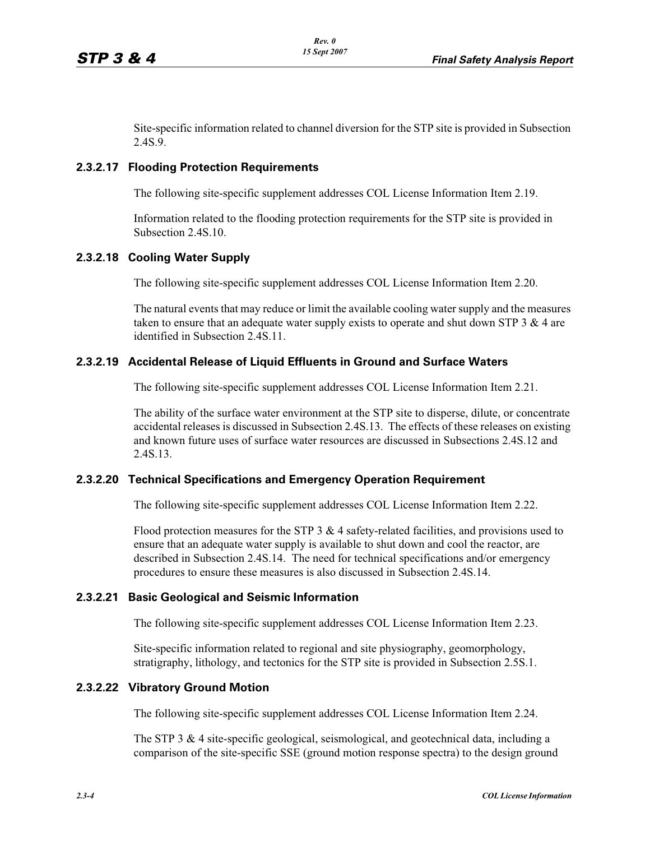Site-specific information related to channel diversion for the STP site is provided in Subsection 2.4S.9.

# **2.3.2.17 Flooding Protection Requirements**

The following site-specific supplement addresses COL License Information Item 2.19.

Information related to the flooding protection requirements for the STP site is provided in Subsection 2.4S.10.

# **2.3.2.18 Cooling Water Supply**

The following site-specific supplement addresses COL License Information Item 2.20.

The natural events that may reduce or limit the available cooling water supply and the measures taken to ensure that an adequate water supply exists to operate and shut down STP  $3 \& 4$  are identified in Subsection 2.4S.11.

# **2.3.2.19 Accidental Release of Liquid Effluents in Ground and Surface Waters**

The following site-specific supplement addresses COL License Information Item 2.21.

The ability of the surface water environment at the STP site to disperse, dilute, or concentrate accidental releases is discussed in Subsection 2.4S.13. The effects of these releases on existing and known future uses of surface water resources are discussed in Subsections 2.4S.12 and 2.4S.13.

#### **2.3.2.20 Technical Specifications and Emergency Operation Requirement**

The following site-specific supplement addresses COL License Information Item 2.22.

Flood protection measures for the STP 3  $&$  4 safety-related facilities, and provisions used to ensure that an adequate water supply is available to shut down and cool the reactor, are described in Subsection 2.4S.14. The need for technical specifications and/or emergency procedures to ensure these measures is also discussed in Subsection 2.4S.14.

#### **2.3.2.21 Basic Geological and Seismic Information**

The following site-specific supplement addresses COL License Information Item 2.23.

Site-specific information related to regional and site physiography, geomorphology, stratigraphy, lithology, and tectonics for the STP site is provided in Subsection 2.5S.1.

#### **2.3.2.22 Vibratory Ground Motion**

The following site-specific supplement addresses COL License Information Item 2.24.

The STP 3 & 4 site-specific geological, seismological, and geotechnical data, including a comparison of the site-specific SSE (ground motion response spectra) to the design ground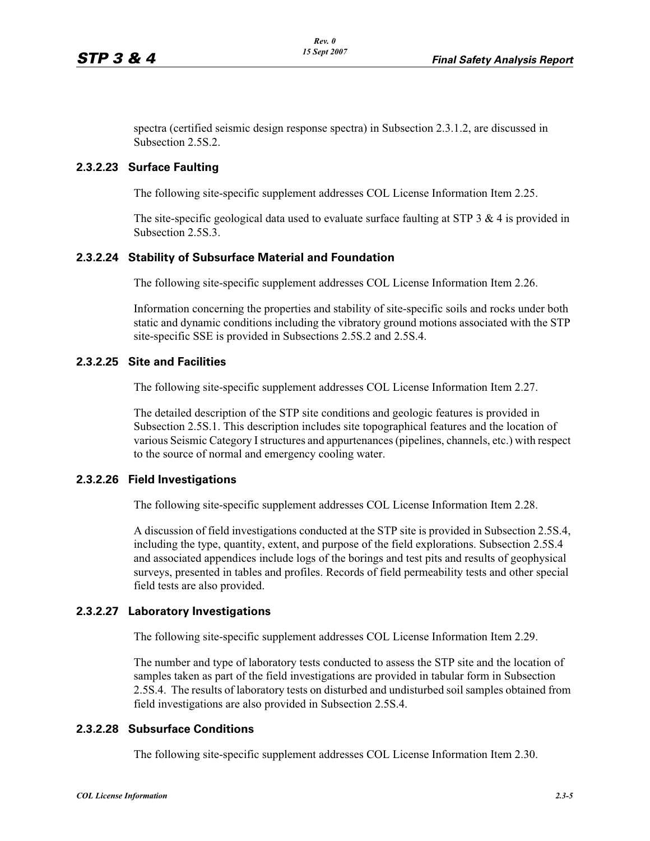spectra (certified seismic design response spectra) in Subsection 2.3.1.2, are discussed in Subsection 2.5S.2.

#### **2.3.2.23 Surface Faulting**

The following site-specific supplement addresses COL License Information Item 2.25.

The site-specific geological data used to evaluate surface faulting at STP  $3 \& 4$  is provided in Subsection 2.5S.3.

#### **2.3.2.24 Stability of Subsurface Material and Foundation**

The following site-specific supplement addresses COL License Information Item 2.26.

Information concerning the properties and stability of site-specific soils and rocks under both static and dynamic conditions including the vibratory ground motions associated with the STP site-specific SSE is provided in Subsections 2.5S.2 and 2.5S.4.

# **2.3.2.25 Site and Facilities**

The following site-specific supplement addresses COL License Information Item 2.27.

The detailed description of the STP site conditions and geologic features is provided in Subsection 2.5S.1. This description includes site topographical features and the location of various Seismic Category I structures and appurtenances (pipelines, channels, etc.) with respect to the source of normal and emergency cooling water.

#### **2.3.2.26 Field Investigations**

The following site-specific supplement addresses COL License Information Item 2.28.

A discussion of field investigations conducted at the STP site is provided in Subsection 2.5S.4, including the type, quantity, extent, and purpose of the field explorations. Subsection 2.5S.4 and associated appendices include logs of the borings and test pits and results of geophysical surveys, presented in tables and profiles. Records of field permeability tests and other special field tests are also provided.

# **2.3.2.27 Laboratory Investigations**

The following site-specific supplement addresses COL License Information Item 2.29.

The number and type of laboratory tests conducted to assess the STP site and the location of samples taken as part of the field investigations are provided in tabular form in Subsection 2.5S.4. The results of laboratory tests on disturbed and undisturbed soil samples obtained from field investigations are also provided in Subsection 2.5S.4.

#### **2.3.2.28 Subsurface Conditions**

The following site-specific supplement addresses COL License Information Item 2.30.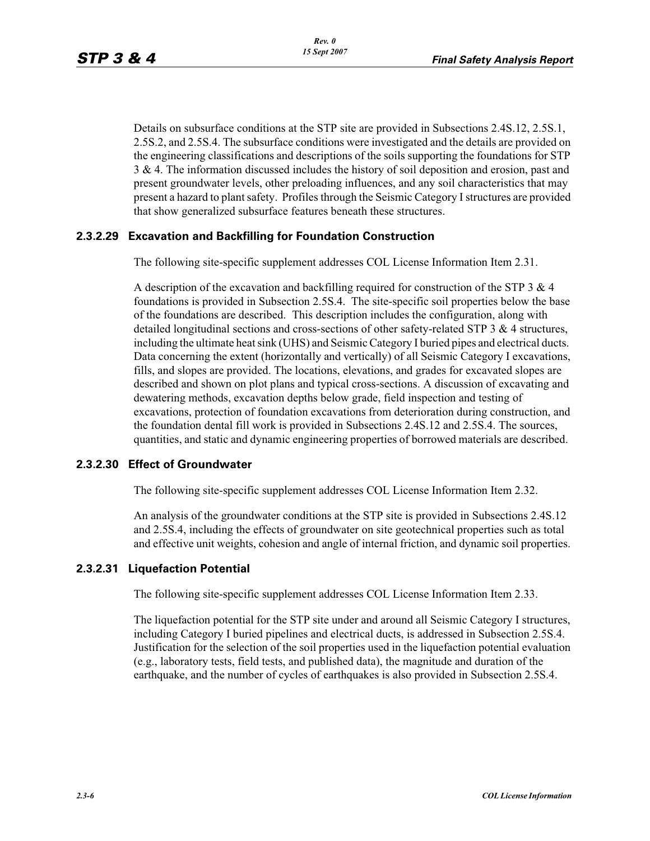Details on subsurface conditions at the STP site are provided in Subsections 2.4S.12, 2.5S.1, 2.5S.2, and 2.5S.4. The subsurface conditions were investigated and the details are provided on the engineering classifications and descriptions of the soils supporting the foundations for STP 3 & 4. The information discussed includes the history of soil deposition and erosion, past and present groundwater levels, other preloading influences, and any soil characteristics that may present a hazard to plant safety. Profiles through the Seismic Category I structures are provided that show generalized subsurface features beneath these structures.

# **2.3.2.29 Excavation and Backfilling for Foundation Construction**

The following site-specific supplement addresses COL License Information Item 2.31.

A description of the excavation and backfilling required for construction of the STP  $3 \& 4$ foundations is provided in Subsection 2.5S.4. The site-specific soil properties below the base of the foundations are described. This description includes the configuration, along with detailed longitudinal sections and cross-sections of other safety-related STP 3 & 4 structures, including the ultimate heat sink (UHS) and Seismic Category I buried pipes and electrical ducts. Data concerning the extent (horizontally and vertically) of all Seismic Category I excavations, fills, and slopes are provided. The locations, elevations, and grades for excavated slopes are described and shown on plot plans and typical cross-sections. A discussion of excavating and dewatering methods, excavation depths below grade, field inspection and testing of excavations, protection of foundation excavations from deterioration during construction, and the foundation dental fill work is provided in Subsections 2.4S.12 and 2.5S.4. The sources, quantities, and static and dynamic engineering properties of borrowed materials are described.

#### **2.3.2.30 Effect of Groundwater**

The following site-specific supplement addresses COL License Information Item 2.32.

An analysis of the groundwater conditions at the STP site is provided in Subsections 2.4S.12 and 2.5S.4, including the effects of groundwater on site geotechnical properties such as total and effective unit weights, cohesion and angle of internal friction, and dynamic soil properties.

#### **2.3.2.31 Liquefaction Potential**

The following site-specific supplement addresses COL License Information Item 2.33.

The liquefaction potential for the STP site under and around all Seismic Category I structures, including Category I buried pipelines and electrical ducts, is addressed in Subsection 2.5S.4. Justification for the selection of the soil properties used in the liquefaction potential evaluation (e.g., laboratory tests, field tests, and published data), the magnitude and duration of the earthquake, and the number of cycles of earthquakes is also provided in Subsection 2.5S.4.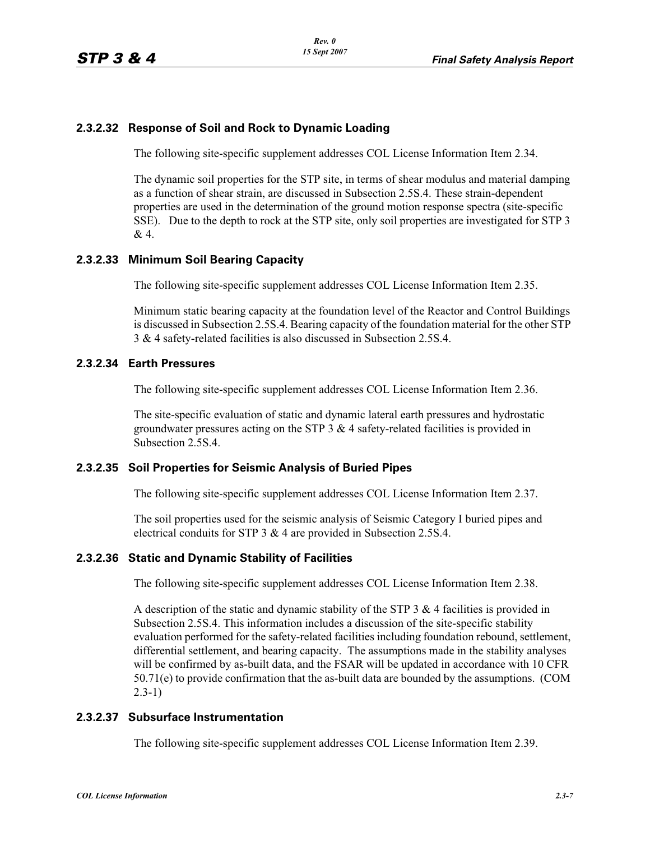# **2.3.2.32 Response of Soil and Rock to Dynamic Loading**

The following site-specific supplement addresses COL License Information Item 2.34.

The dynamic soil properties for the STP site, in terms of shear modulus and material damping as a function of shear strain, are discussed in Subsection 2.5S.4. These strain-dependent properties are used in the determination of the ground motion response spectra (site-specific SSE). Due to the depth to rock at the STP site, only soil properties are investigated for STP 3 & 4.

# **2.3.2.33 Minimum Soil Bearing Capacity**

The following site-specific supplement addresses COL License Information Item 2.35.

Minimum static bearing capacity at the foundation level of the Reactor and Control Buildings is discussed in Subsection 2.5S.4. Bearing capacity of the foundation material for the other STP 3 & 4 safety-related facilities is also discussed in Subsection 2.5S.4.

# **2.3.2.34 Earth Pressures**

The following site-specific supplement addresses COL License Information Item 2.36.

The site-specific evaluation of static and dynamic lateral earth pressures and hydrostatic groundwater pressures acting on the STP 3 & 4 safety-related facilities is provided in Subsection 2.5S.4.

#### **2.3.2.35 Soil Properties for Seismic Analysis of Buried Pipes**

The following site-specific supplement addresses COL License Information Item 2.37.

The soil properties used for the seismic analysis of Seismic Category I buried pipes and electrical conduits for STP 3 & 4 are provided in Subsection 2.5S.4.

#### **2.3.2.36 Static and Dynamic Stability of Facilities**

The following site-specific supplement addresses COL License Information Item 2.38.

A description of the static and dynamic stability of the STP 3  $\&$  4 facilities is provided in Subsection 2.5S.4. This information includes a discussion of the site-specific stability evaluation performed for the safety-related facilities including foundation rebound, settlement, differential settlement, and bearing capacity. The assumptions made in the stability analyses will be confirmed by as-built data, and the FSAR will be updated in accordance with 10 CFR 50.71(e) to provide confirmation that the as-built data are bounded by the assumptions. (COM 2.3-1)

#### **2.3.2.37 Subsurface Instrumentation**

The following site-specific supplement addresses COL License Information Item 2.39.